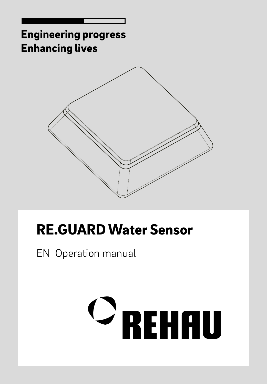

# RE.GUARD Water Sensor

EN Operation manual

# $\mathbf{\circ}_{\mathsf{REHHU}}$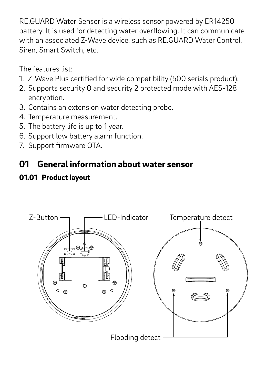RE.GUARD Water Sensor is a wireless sensor powered by ER14250 battery. It is used for detecting water overflowing. It can communicate with an associated Z-Wave device, such as RE.GUARD Water Control. Siren, Smart Switch, etc.

The features list:

- 1. Z-Wave Plus certified for wide compatibility (500 serials product).
- 2. Supports security 0 and security 2 protected mode with AES-128 encryption.
- 3. Contains an extension water detecting probe.
- 4. Temperature measurement.
- 5. The battery life is up to 1 year.
- 6. Support low battery alarm function.
- 7. Support firmware OTA.

#### 01 General information about water sensor

#### 01.01 Product layout

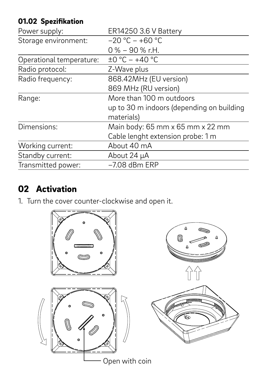#### 01.02 Spezifikation

| Power supply:            | ER14250 3.6 V Battery                     |
|--------------------------|-------------------------------------------|
| Storage environment:     | $-20 °C - +60 °C$                         |
|                          | $0\% - 90\%$ r.H.                         |
| Operational temperature: | $\pm 0$ °C - +40 °C                       |
| Radio protocol:          | Z-Wave plus                               |
| Radio frequency:         | 868.42MHz (EU version)                    |
|                          | 869 MHz (RU version)                      |
| Range:                   | More than 100 m outdoors                  |
|                          | up to 30 m indoors (depending on building |
|                          | materials)                                |
| Dimensions:              | Main body: 65 mm x 65 mm x 22 mm          |
|                          | Cable lenght extension probe: 1 m         |
| Working current:         | About 40 mA                               |
| Standby current:         | About 24 uA                               |
| Transmitted power:       | $-7.08$ dBm ERP                           |

#### 02 Activation

1. Turn the cover counter-clockwise and open it.

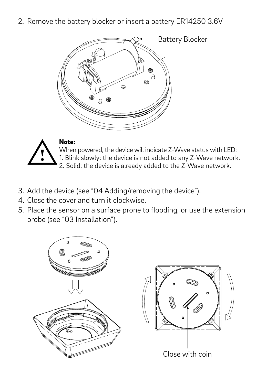2. Remove the battery blocker or insert a battery ER14250 3.6V





When powered, the device will indicate Z-Wave status with LED: 1. Blink slowly: the device is not added to any Z-Wave network. 2. Solid: the device is already added to the Z-Wave network.

- 3. Add the device (see "04 Adding/removing the device").
- 4. Close the cover and turn it clockwise.
- 5. Place the sensor on a surface prone to flooding, or use the extension probe (see "03 Installation").

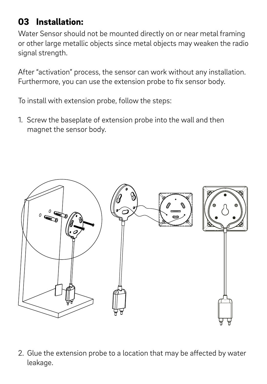#### 03 Installation:

Water Sensor should not be mounted directly on or near metal framing or other large metallic objects since metal objects may weaken the radio signal strength

After "activation" process, the sensor can work without any installation. Furthermore, you can use the extension probe to fix sensor body.

To install with extension probe, follow the steps:

1. Screw the baseplate of extension probe into the wall and then magnet the sensor body.



2. Glue the extension probe to a location that may be affected by water leakage.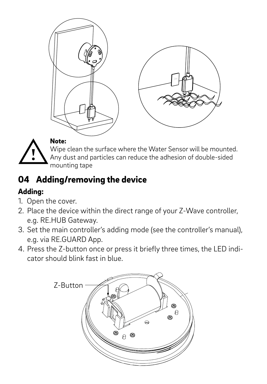

Wipe clean the surface where the Water Sensor will be mounted. Any dust and particles can reduce the adhesion of double-sided mounting tape

### 04 Adding/removing the device

#### Adding:

- 1. Open the cover.
- 2. Place the device within the direct range of your Z-Wave controller, e.g. RE.HUB Gateway.
- 3. Set the main controller's adding mode (see the controller's manual), e.g. via RE.GUARD App.
- 4. Press the Z-button once or press it briefly three times, the LED indicator should blink fast in blue.

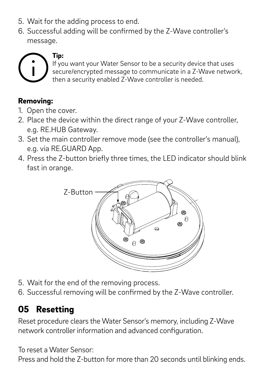- 5. Wait for the adding process to end.
- 6. Successful adding will be confirmed by the Z-Wave controller's message.



If you want your Water Sensor to be a security device that uses secure/encrypted message to communicate in a Z-Wave network, then a security enabled Z-Wave controller is needed.

#### Removing:

- 1. Open the cover.
- 2. Place the device within the direct range of your Z-Wave controller, e.g. RE.HUB Gateway.
- 3. Set the main controller remove mode (see the controller's manual), e.g. via RE.GUARD App.
- 4. Press the Z-button briefly three times, the LED indicator should blink fast in orange.



- 5. Wait for the end of the removing process.
- 6. Successful removing will be confirmed by the Z-Wave controller.

### 05 Resetting

Reset procedure clears the Water Sensor's memory, including Z-Wave network controller information and advanced configuration.

To reset a Water Sensor: Press and hold the Z-button for more than 20 seconds until blinking ends.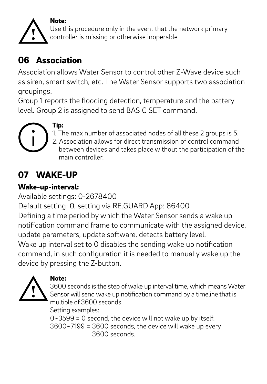#### Note:



Use this procedure only in the event that the network primary controller is missing or otherwise inoperable

#### 06 Association

Association allows Water Sensor to control other Z-Wave device such as siren, smart switch, etc. The Water Sensor supports two association groupings.

Group 1 reports the flooding detection, temperature and the battery level. Group 2 is assigned to send BASIC SET command.



## 1. The max number of associated nodes of all these 2 groups is 5. 2. Association allows for direct transmission of control command

 between devices and takes place without the participation of the main controller.

#### 07 WAKE-UP

#### Wake-up-interval:

Available settings: 0-2678400 Default setting: 0, setting via RE.GUARD App: 86400 Defining a time period by which the Water Sensor sends a wake up notification command frame to communicate with the assigned device, update parameters, update software, detects battery level. Wake up interval set to 0 disables the sending wake up notification command, in such configuration it is needed to manually wake up the device by pressing the Z-button.



#### Note:

3600 seconds is the step of wake up interval time, which means Water Sensor will send wake up notification command by a timeline that is multiple of 3600 seconds.

Setting examples:

0~3599 = 0 second, the device will not wake up by itself. 3600~7199 = 3600 seconds, the device will wake up every 3600 seconds.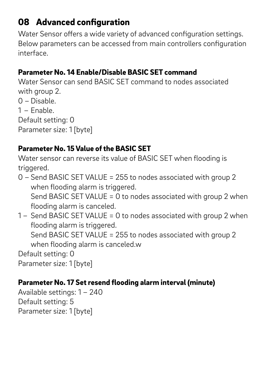#### 08 Advanced configuration

Water Sensor offers a wide variety of advanced configuration settings. Below parameters can be accessed from main controllers configuration interface.

#### Parameter No. 14 Enable/Disable BASIC SET command

Water Sensor can send BASIC SET command to nodes associated with group 2. 0 – Disable. 1 – Enable. Default setting: 0 Parameter size: 1 [byte]

#### Parameter No. 15 Value of the BASIC SET

Water sensor can reverse its value of BASIC SET when flooding is triggered.

- 0 Send BASIC SET VALUE = 255 to nodes associated with group 2 when flooding alarm is triggered. Send BASIC SET VALUE = 0 to nodes associated with group 2 when flooding alarm is canceled.
- 1 Send BASIC SET VALUE = 0 to nodes associated with group 2 when flooding alarm is triggered. Send BASIC SET VALUE = 255 to nodes associated with group 2 when flooding alarm is canceled.w Default setting: 0 Parameter size: 1 [byte]

#### Parameter No. 17 Set resend flooding alarm interval (minute)

Available settings: 1 – 240 Default setting: 5 Parameter size: 1 [byte]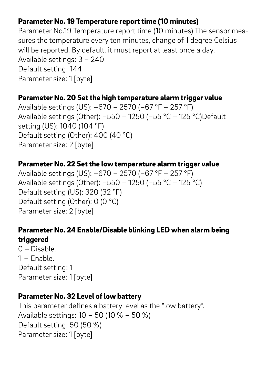#### Parameter No. 19 Temperature report time (10 minutes)

Parameter No.19 Temperature report time (10 minutes) The sensor measures the temperature every ten minutes, change of 1 degree Celsius will be reported. By default, it must report at least once a day. Available settings: 3 – 240 Default setting: 144 Parameter size: 1 [byte]

#### Parameter No. 20 Set the high temperature alarm trigger value

Available settings (US): –670 – 2570 (–67 °F – 257 °F) Available settings (Other): –550 – 1250 (–55 °C – 125 °C)Default setting (US): 1040 (104 °F) Default setting (Other): 400 (40 °C) Parameter size: 2 [byte]

#### Parameter No. 22 Set the low temperature alarm trigger value

Available settings (US): –670 – 2570 (–67 °F – 257 °F) Available settings (Other): –550 – 1250 (–55 °C – 125 °C) Default setting (US): 320 (32 °F) Default setting (Other): 0 (0 °C) Parameter size: 2 [byte]

#### Parameter No. 24 Enable/Disable blinking LED when alarm being triggered

0 – Disable. 1 – Enable. Default setting: 1 Parameter size: 1 [byte]

#### Parameter No. 32 Level of low battery

This parameter defines a battery level as the "low battery". Available settings: 10 – 50 (10 % – 50 %) Default setting: 50 (50 %) Parameter size: 1 [byte]